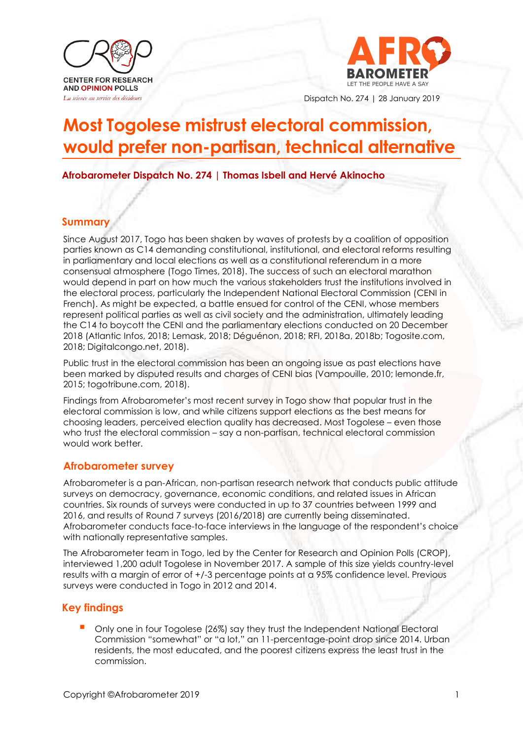



Dispatch No. 274 | 28 January 2019

# **Most Togolese mistrust electoral commission, would prefer non-partisan, technical alternative**

**Afrobarometer Dispatch No. 274 | Thomas Isbell and Hervé Akinocho**

## **Summary**

Since August 2017, Togo has been shaken by waves of protests by a coalition of opposition parties known as C14 demanding constitutional, institutional, and electoral reforms resulting in parliamentary and local elections as well as a constitutional referendum in a more consensual atmosphere (Togo Times, 2018). The success of such an electoral marathon would depend in part on how much the various stakeholders trust the institutions involved in the electoral process, particularly the Independent National Electoral Commission (CENI in French). As might be expected, a battle ensued for control of the CENI, whose members represent political parties as well as civil society and the administration, ultimately leading the C14 to boycott the CENI and the parliamentary elections conducted on 20 December 2018 (Atlantic Infos, 2018; Lemask, 2018; Déguénon, 2018; RFI, 2018a, 2018b; Togosite.com, 2018; Digitalcongo.net, 2018).

Public trust in the electoral commission has been an ongoing issue as past elections have been marked by disputed results and charges of CENI bias (Vampouille, 2010; lemonde.fr, 2015; togotribune.com, 2018).

Findings from Afrobarometer's most recent survey in Togo show that popular trust in the electoral commission is low, and while citizens support elections as the best means for choosing leaders, perceived election quality has decreased. Most Togolese – even those who trust the electoral commission – say a non-partisan, technical electoral commission would work better.

### **Afrobarometer survey**

Afrobarometer is a pan-African, non-partisan research network that conducts public attitude surveys on democracy, governance, economic conditions, and related issues in African countries. Six rounds of surveys were conducted in up to 37 countries between 1999 and 2016, and results of Round 7 surveys (2016/2018) are currently being disseminated. Afrobarometer conducts face-to-face interviews in the language of the respondent's choice with nationally representative samples.

The Afrobarometer team in Togo, led by the Center for Research and Opinion Polls (CROP), interviewed 1,200 adult Togolese in November 2017. A sample of this size yields country-level results with a margin of error of +/-3 percentage points at a 95% confidence level. Previous surveys were conducted in Togo in 2012 and 2014.

# **Key findings**

Only one in four Togolese (26%) say they trust the Independent National Electoral Commission "somewhat" or "a lot," an 11-percentage-point drop since 2014. Urban residents, the most educated, and the poorest citizens express the least trust in the commission.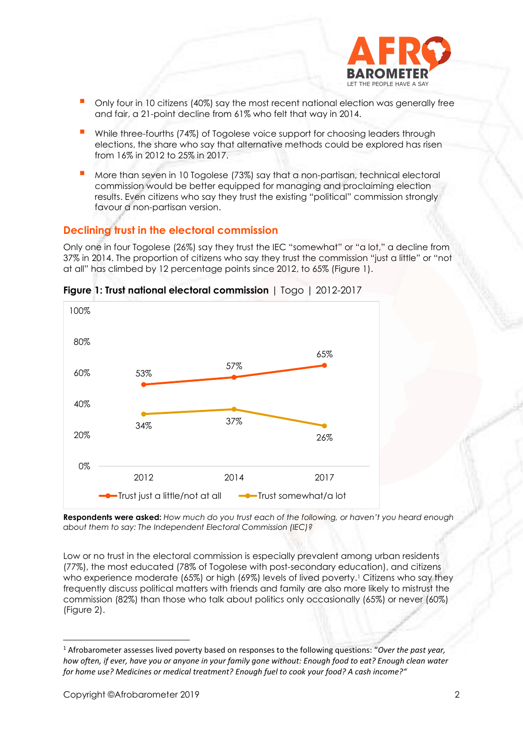

- Only four in 10 citizens (40%) say the most recent national election was generally free and fair, a 21-point decline from 61% who felt that way in 2014.
- While three-fourths (74%) of Togolese voice support for choosing leaders through elections, the share who say that alternative methods could be explored has risen from 16% in 2012 to 25% in 2017.
- More than seven in 10 Togolese (73%) say that a non-partisan, technical electoral commission would be better equipped for managing and proclaiming election results. Even citizens who say they trust the existing "political" commission strongly favour a non-partisan version.

# **Declining trust in the electoral commission**

Only one in four Togolese (26%) say they trust the IEC "somewhat" or "a lot," a decline from 37% in 2014. The proportion of citizens who say they trust the commission "just a little" or "not at all" has climbed by 12 percentage points since 2012, to 65% (Figure 1).



**Figure 1: Trust national electoral commission** | Togo | 2012-2017

**Respondents were asked:** *How much do you trust each of the following, or haven't you heard enough about them to say: The Independent Electoral Commission (IEC)?*

Low or no trust in the electoral commission is especially prevalent among urban residents (77%), the most educated (78% of Togolese with post-secondary education), and citizens who experience moderate (65%) or high (69%) levels of lived poverty. <sup>1</sup> Citizens who say they frequently discuss political matters with friends and family are also more likely to mistrust the commission (82%) than those who talk about politics only occasionally (65%) or never (60%) (Figure 2).

<sup>1</sup> Afrobarometer assesses lived poverty based on responses to the following questions: "*Over the past year, how often, if ever, have you or anyone in your family gone without: Enough food to eat? Enough clean water for home use? Medicines or medical treatment? Enough fuel to cook your food? A cash income?"*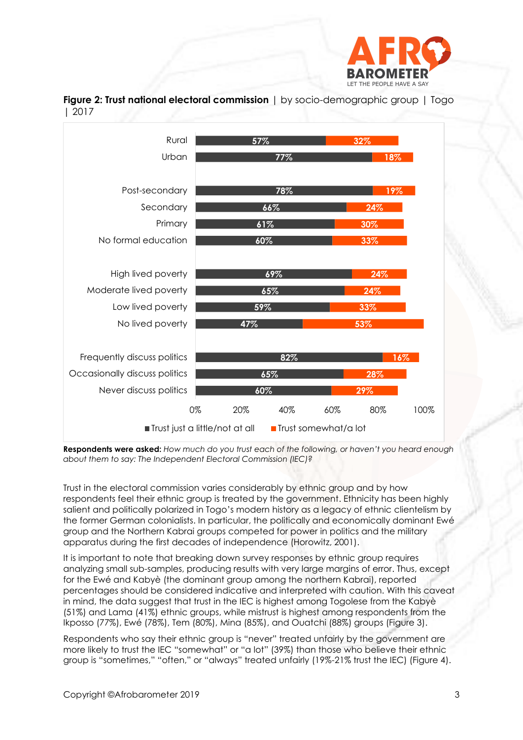

**Figure 2: Trust national electoral commission** | by socio-demographic group | Togo | 2017



**Respondents were asked:** *How much do you trust each of the following, or haven't you heard enough about them to say: The Independent Electoral Commission (IEC)?*

Trust in the electoral commission varies considerably by ethnic group and by how respondents feel their ethnic group is treated by the government. Ethnicity has been highly salient and politically polarized in Togo's modern history as a legacy of ethnic clientelism by the former German colonialists. In particular, the politically and economically dominant Ewé group and the Northern Kabrai groups competed for power in politics and the military apparatus during the first decades of independence (Horowitz, 2001).

It is important to note that breaking down survey responses by ethnic group requires analyzing small sub-samples, producing results with very large margins of error. Thus, except for the Ewé and Kabyè (the dominant group among the northern Kabrai), reported percentages should be considered indicative and interpreted with caution. With this caveat in mind, the data suggest that trust in the IEC is highest among Togolese from the Kabyè (51%) and Lama (41%) ethnic groups, while mistrust is highest among respondents from the Ikposso (77%), Ewé (78%), Tem (80%), Mina (85%), and Ouatchi (88%) groups (Figure 3).

Respondents who say their ethnic group is "never" treated unfairly by the government are more likely to trust the IEC "somewhat" or "a lot" (39%) than those who believe their ethnic group is "sometimes," "often," or "always" treated unfairly (19%-21% trust the IEC) (Figure 4).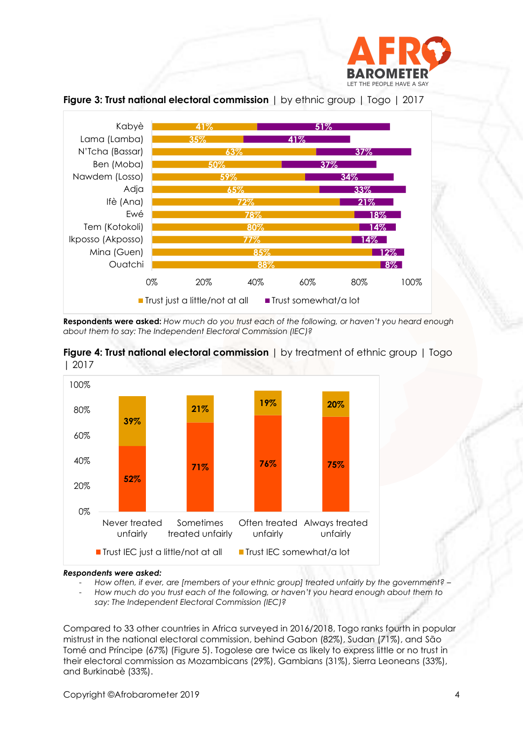



**Figure 3: Trust national electoral commission** | by ethnic group | Togo | 2017

**Respondents were asked:** *How much do you trust each of the following, or haven't you heard enough about them to say: The Independent Electoral Commission (IEC)?*





#### *Respondents were asked:*

- *How often, if ever, are [members of your ethnic group] treated unfairly by the government? –* - *How much do you trust each of the following, or haven't you heard enough about them to* 

*say: The Independent Electoral Commission (IEC)?*

Compared to 33 other countries in Africa surveyed in 2016/2018, Togo ranks fourth in popular mistrust in the national electoral commission, behind Gabon (82%), Sudan (71%), and São Tomé and Príncipe (67%) (Figure 5). Togolese are twice as likely to express little or no trust in their electoral commission as Mozambicans (29%), Gambians (31%), Sierra Leoneans (33%), and Burkinabè (33%).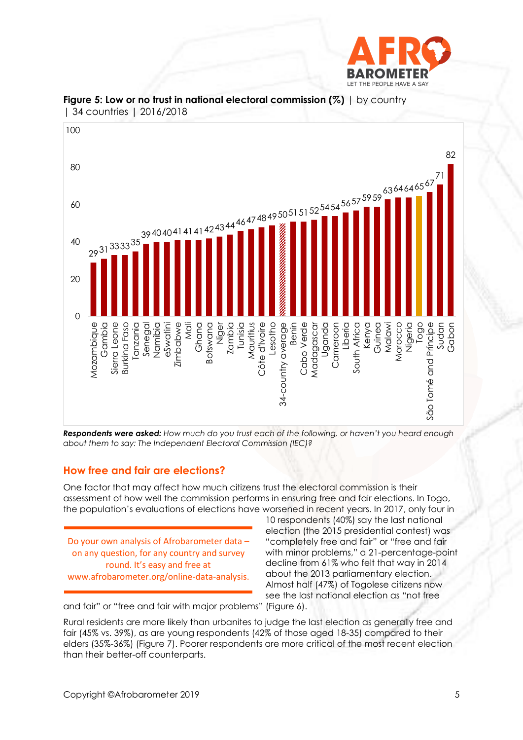



**Figure 5: Low or no trust in national electoral commission (%)** | by country | 34 countries | 2016/2018

*Respondents were asked: How much do you trust each of the following, or haven't you heard enough about them to say: The Independent Electoral Commission (IEC)?*

### **How free and fair are elections?**

One factor that may affect how much citizens trust the electoral commission is their assessment of how well the commission performs in ensuring free and fair elections. In Togo, the population's evaluations of elections have worsened in recent years. In 2017, only four in

Do your own analysis of Afrobarometer data – on any question, for any country and survey round. It's easy and free at www.afrobarometer.org/online-data-analysis.

10 respondents (40%) say the last national election (the 2015 presidential contest) was "completely free and fair" or "free and fair with minor problems," a 21-percentage-point decline from 61% who felt that way in 2014 about the 2013 parliamentary election. Almost half (47%) of Togolese citizens now see the last national election as "not free

and fair" or "free and fair with major problems" (Figure 6).

Rural residents are more likely than urbanites to judge the last election as generally free and fair (45% vs. 39%), as are young respondents (42% of those aged 18-35) compared to their elders (35%-36%) (Figure 7). Poorer respondents are more critical of the most recent election than their better-off counterparts.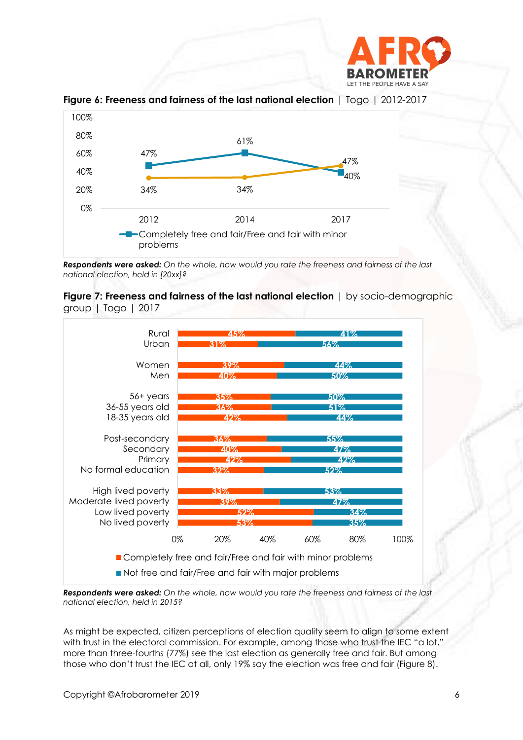



**Figure 6: Freeness and fairness of the last national election** | Togo | 2012-2017

*Respondents were asked: On the whole, how would you rate the freeness and fairness of the last national election, held in [20xx]?*





*Respondents were asked: On the whole, how would you rate the freeness and fairness of the last national election, held in 2015?*

As might be expected, citizen perceptions of election quality seem to align to some extent with trust in the electoral commission. For example, among those who trust the IEC "a lot," more than three-fourths (77%) see the last election as generally free and fair. But among those who don't trust the IEC at all, only 19% say the election was free and fair (Figure 8).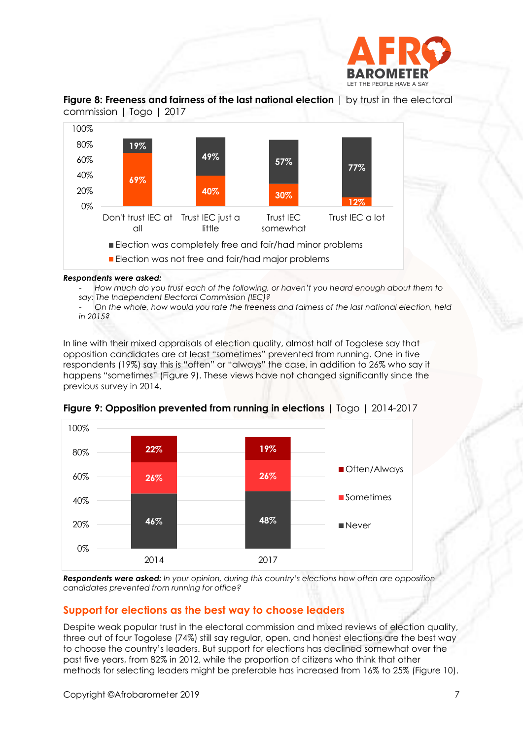

### **Figure 8: Freeness and fairness of the last national election** | by trust in the electoral commission | Togo | 2017



#### *Respondents were asked:*

- *How much do you trust each of the following, or haven't you heard enough about them to say: The Independent Electoral Commission (IEC)?*

- *On the whole, how would you rate the freeness and fairness of the last national election, held in 2015?*

In line with their mixed appraisals of election quality, almost half of Togolese say that opposition candidates are at least "sometimes" prevented from running. One in five respondents (19%) say this is "often" or "always" the case, in addition to 26% who say it happens "sometimes" (Figure 9). These views have not changed significantly since the previous survey in 2014.



**Figure 9: Opposition prevented from running in elections** | Togo | 2014-2017

**Respondents were asked:** In your opinion, during this country's elections how often are opposition *candidates prevented from running for office?*

### **Support for elections as the best way to choose leaders**

Despite weak popular trust in the electoral commission and mixed reviews of election quality, three out of four Togolese (74%) still say regular, open, and honest elections are the best way to choose the country's leaders. But support for elections has declined somewhat over the past five years, from 82% in 2012, while the proportion of citizens who think that other methods for selecting leaders might be preferable has increased from 16% to 25% (Figure 10).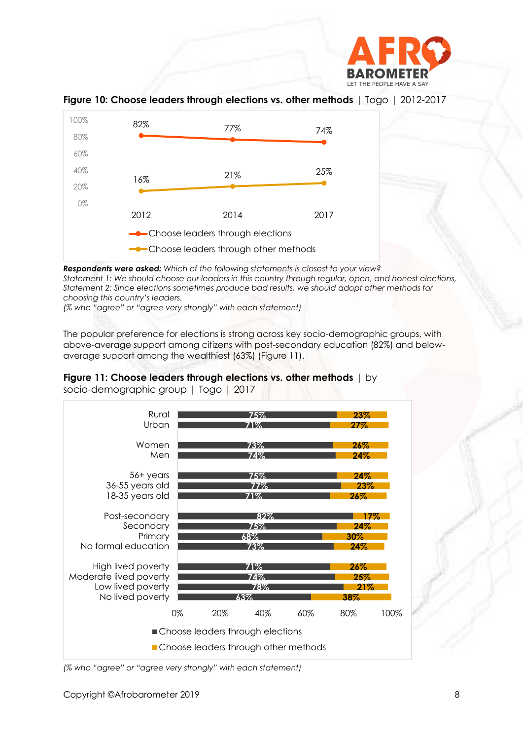



**Figure 10: Choose leaders through elections vs. other methods** | Togo | 2012-2017

*Respondents were asked: Which of the following statements is closest to your view? Statement 1: We should choose our leaders in this country through regular, open, and honest elections, Statement 2: Since elections sometimes produce bad results, we should adopt other methods for choosing this country's leaders.*

*(% who "agree" or "agree very strongly" with each statement)*

The popular preference for elections is strong across key socio-demographic groups, with above-average support among citizens with post-secondary education (82%) and belowaverage support among the wealthiest (63%) (Figure 11).





*(% who "agree" or "agree very strongly" with each statement)*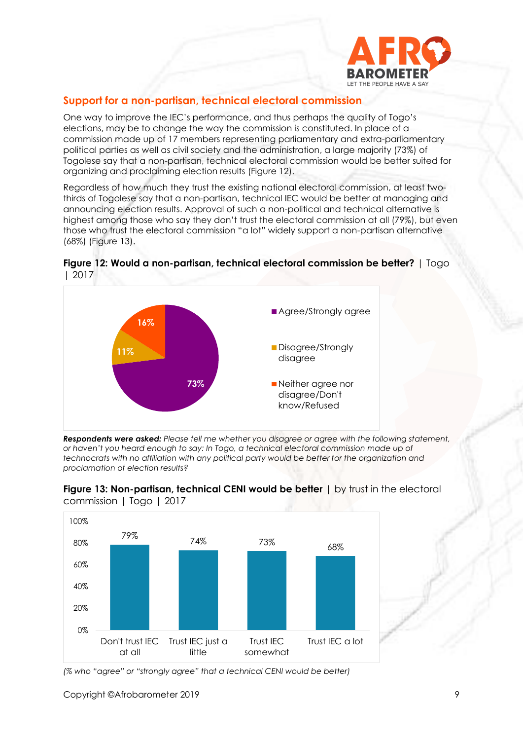

# **Support for a non-partisan, technical electoral commission**

One way to improve the IEC's performance, and thus perhaps the quality of Togo's elections, may be to change the way the commission is constituted. In place of a commission made up of 17 members representing parliamentary and extra-parliamentary political parties as well as civil society and the administration, a large majority (73%) of Togolese say that a non-partisan, technical electoral commission would be better suited for organizing and proclaiming election results (Figure 12).

Regardless of how much they trust the existing national electoral commission, at least twothirds of Togolese say that a non-partisan, technical IEC would be better at managing and announcing election results. Approval of such a non-political and technical alternative is highest among those who say they don't trust the electoral commission at all (79%), but even those who trust the electoral commission "a lot" widely support a non-partisan alternative (68%) (Figure 13).



**Figure 12: Would a non-partisan, technical electoral commission be better?** | Togo | 2017

*Respondents were asked: Please tell me whether you disagree or agree with the following statement, or haven't you heard enough to say: In Togo, a technical electoral commission made up of technocrats with no affiliation with any political party would be better for the organization and proclamation of election results?*





*(% who "agree" or "strongly agree" that a technical CENI would be better)*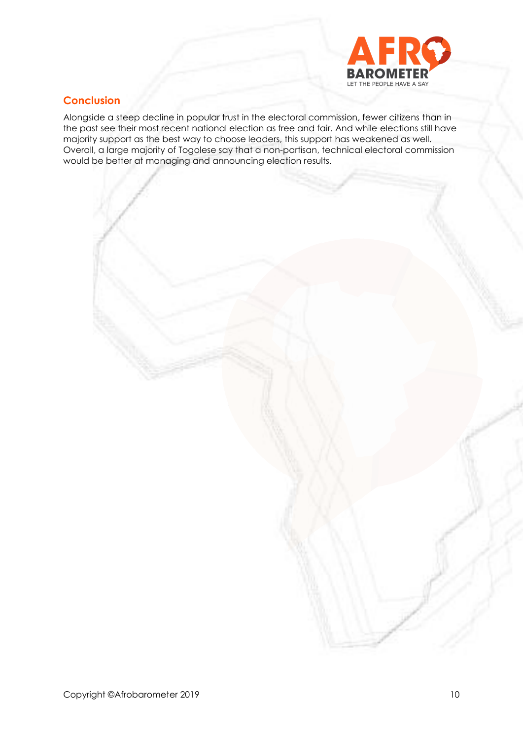

# **Conclusion**

Alongside a steep decline in popular trust in the electoral commission, fewer citizens than in the past see their most recent national election as free and fair. And while elections still have majority support as the best way to choose leaders, this support has weakened as well. Overall, a large majority of Togolese say that a non-partisan, technical electoral commission would be better at managing and announcing election results.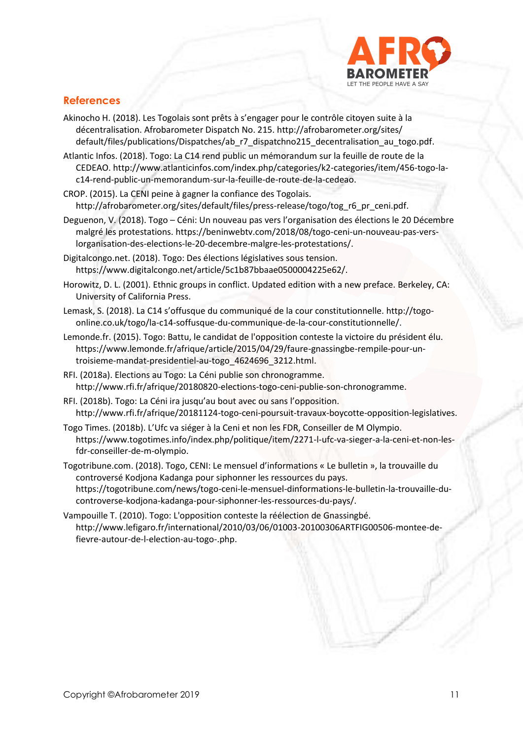

# **References**

- Akinocho H. (2018). Les Togolais sont prêts à s'engager pour le contrôle citoyen suite à la décentralisation. Afrobarometer Dispatch No. 215. [http://afrobarometer.org/sites/](http://afrobarometer.org/sites/%20default/files/publications/)  [default/files/publications/D](http://afrobarometer.org/sites/%20default/files/publications/)ispatches/ab\_r7\_dispatchno215\_decentralisation\_au\_togo.pdf.
- Atlantic Infos. (2018). Togo: La C14 rend public un mémorandum sur la feuille de route de la CEDEAO. http://www.atlanticinfos.com/index.php/categories/k2-categories/item/456-togo-lac14-rend-public-un-memorandum-sur-la-feuille-de-route-de-la-cedeao.
- CROP. (2015). La CENI peine à gagner la confiance des Togolais. [http://afrobarometer.org/sites/default/files/press-release/togo/tog\\_r6\\_pr\\_ceni.pdf.](http://afrobarometer.org/sites/default/files/press-release/togo/tog_r6_pr_ceni.pdf)
- Deguenon, V. (2018). Togo Céni: Un nouveau pas vers l'organisation des élections le 20 Décembre malgré les protestations. [https://beninwebtv.com/2018/08/togo-ceni-un-nouveau-pas-vers](https://beninwebtv.com/2018/08/togo-ceni-un-nouveau-pas-vers-lorganisation-des-elections-le-20-decembre-malgre-les-protestations/)[lorganisation-des-elections-le-20-decembre-malgre-les-protestations/.](https://beninwebtv.com/2018/08/togo-ceni-un-nouveau-pas-vers-lorganisation-des-elections-le-20-decembre-malgre-les-protestations/)
- Digitalcongo.net. (2018). Togo: Des élections législatives sous tension. https://www.digitalcongo.net/article/5c1b87bbaae0500004225e62/.
- Horowitz, D. L. (2001). Ethnic groups in conflict. Updated edition with a new preface. Berkeley, CA: University of California Press.
- Lemask, S. (2018). La C14 s'offusque du communiqué de la cour constitutionnelle[. http://togo](http://togo-online.co.uk/togo/la-c14-soffusque-du-communique-de-la-cour-constitutionnelle/)[online.co.uk/togo/la-c14-soffusque-du-communique-de-la-cour-constitutionnelle/.](http://togo-online.co.uk/togo/la-c14-soffusque-du-communique-de-la-cour-constitutionnelle/)
- Lemonde.fr. (2015). Togo: Battu, le candidat de l'opposition conteste la victoire du président élu. [https://www.lemonde.fr/afrique/article/2015/04/29/faure-gnassingbe-rempile-pour-un](https://www.lemonde.fr/afrique/article/2015/04/29/faure-gnassingbe-rempile-pour-un-troisieme-mandat-presidentiel-au-togo_4624696_3212.html)[troisieme-mandat-presidentiel-au-togo\\_4624696\\_3212.html.](https://www.lemonde.fr/afrique/article/2015/04/29/faure-gnassingbe-rempile-pour-un-troisieme-mandat-presidentiel-au-togo_4624696_3212.html)
- RFI. (2018a). Elections au Togo: La Céni publie son chronogramme. [http://www.rfi.fr/afrique/20180820-elections-togo-ceni-publie-son-chronogramme.](http://www.rfi.fr/afrique/20180820-elections-togo-ceni-publie-son-chronogramme)
- RFI. (2018b). Togo: La Céni ira jusqu'au bout avec ou sans l'opposition. http://www.rfi.fr/afrique/20181124-togo-ceni-poursuit-travaux-boycotte-opposition-legislatives.
- Togo Times. (2018b). L'Ufc va siéger à la Ceni et non les FDR, Conseiller de M Olympio. https://www.togotimes.info/index.php/politique/item/2271-l-ufc-va-sieger-a-la-ceni-et-non-lesfdr-conseiller-de-m-olympio.

Togotribune.com. (2018). Togo, CENI: Le mensuel d'informations « Le bulletin », la trouvaille du controversé Kodjona Kadanga pour siphonner les ressources du pays. https://togotribune.com/news/togo-ceni-le-mensuel-dinformations-le-bulletin-la-trouvaille-ducontroverse-kodjona-kadanga-pour-siphonner-les-ressources-du-pays/.

Vampouille T. (2010). Togo: L'opposition conteste la réélection de Gnassingbé. http://www.lefigaro.fr/international/2010/03/06/01003-20100306ARTFIG00506-montee-defievre-autour-de-l-election-au-togo-.php.